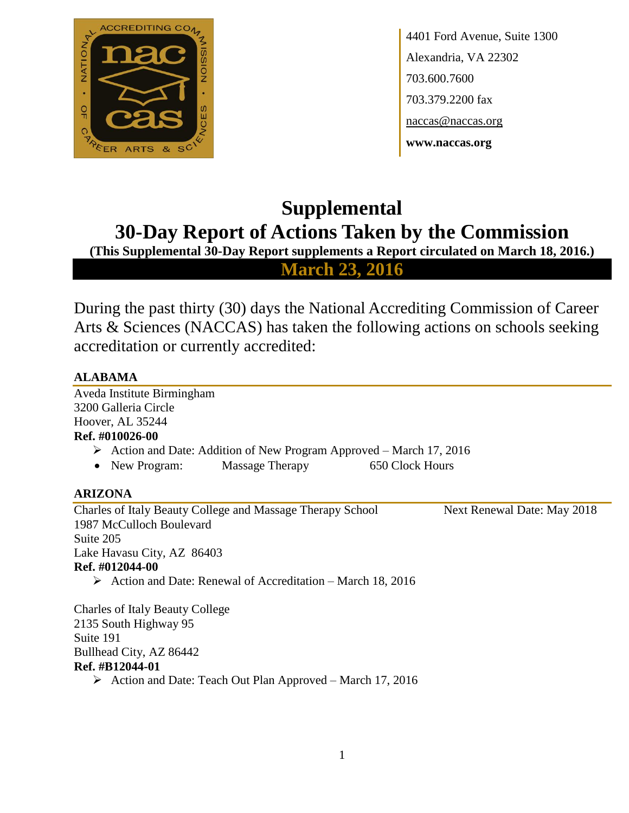

4401 Ford Avenue, Suite 1300 Alexandria, VA 22302 703.600.7600 703.379.2200 fax naccas@naccas.org **www.naccas.org**

# **Supplemental 30-Day Report of Actions Taken by the Commission**

**(This Supplemental 30-Day Report supplements a Report circulated on March 18, 2016.)**

**March 23, 2016**

During the past thirty (30) days the National Accrediting Commission of Career Arts & Sciences (NACCAS) has taken the following actions on schools seeking accreditation or currently accredited:

## **ALABAMA**

Aveda Institute Birmingham 3200 Galleria Circle Hoover, AL 35244 **Ref. #010026-00**

- $\triangleright$  Action and Date: Addition of New Program Approved March 17, 2016
- New Program: Massage Therapy 650 Clock Hours

## **ARIZONA**

Charles of Italy Beauty College and Massage Therapy School Next Renewal Date: May 2018 1987 McCulloch Boulevard Suite 205 Lake Havasu City, AZ 86403 **Ref. #012044-00**  $\triangleright$  Action and Date: Renewal of Accreditation – March 18, 2016

Charles of Italy Beauty College 2135 South Highway 95 Suite 191 Bullhead City, AZ 86442 **Ref. #B12044-01**  $\triangleright$  Action and Date: Teach Out Plan Approved – March 17, 2016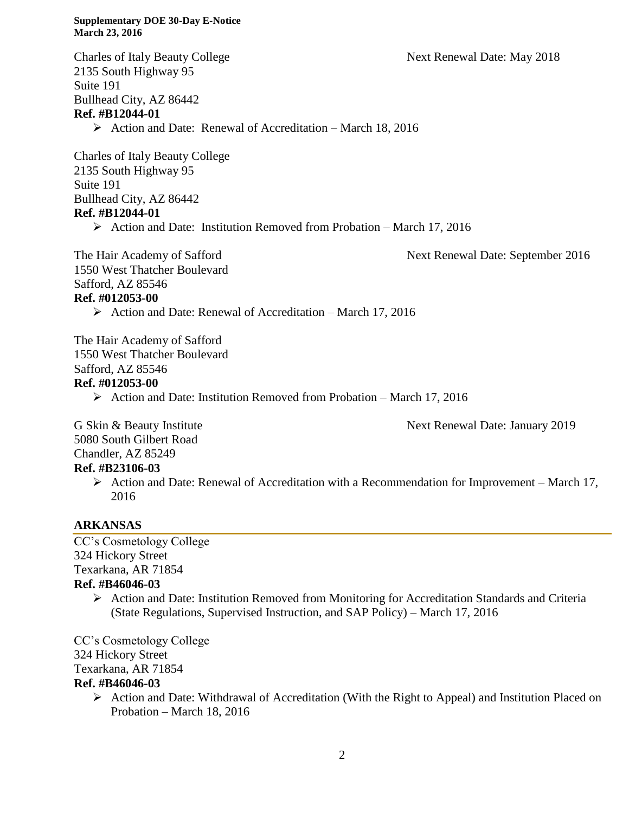Charles of Italy Beauty College Next Renewal Date: May 2018 2135 South Highway 95 Suite 191 Bullhead City, AZ 86442 **Ref. #B12044-01**  $\triangleright$  Action and Date: Renewal of Accreditation – March 18, 2016 Charles of Italy Beauty College 2135 South Highway 95 Suite 191 Bullhead City, AZ 86442 **Ref. #B12044-01**  $\triangleright$  Action and Date: Institution Removed from Probation – March 17, 2016 The Hair Academy of Safford Next Renewal Date: September 2016

1550 West Thatcher Boulevard Safford, AZ 85546

#### **Ref. #012053-00**

 $\triangleright$  Action and Date: Renewal of Accreditation – March 17, 2016

The Hair Academy of Safford 1550 West Thatcher Boulevard Safford, AZ 85546

#### **Ref. #012053-00**

 $\triangleright$  Action and Date: Institution Removed from Probation – March 17, 2016

G Skin & Beauty Institute The Next Renewal Date: January 2019 5080 South Gilbert Road Chandler, AZ 85249

**Ref. #B23106-03**

Action and Date: Renewal of Accreditation with a Recommendation for Improvement – March 17, 2016

## **ARKANSAS**

CC's Cosmetology College 324 Hickory Street Texarkana, AR 71854 **Ref. #B46046-03**

> Action and Date: Institution Removed from Monitoring for Accreditation Standards and Criteria (State Regulations, Supervised Instruction, and SAP Policy) – March 17, 2016

CC's Cosmetology College 324 Hickory Street Texarkana, AR 71854 **Ref. #B46046-03**

- $\triangleright$  Action and Date: Withdrawal of Accreditation (With the Right to Appeal) and Institution Placed on Probation – March 18, 2016
	- 2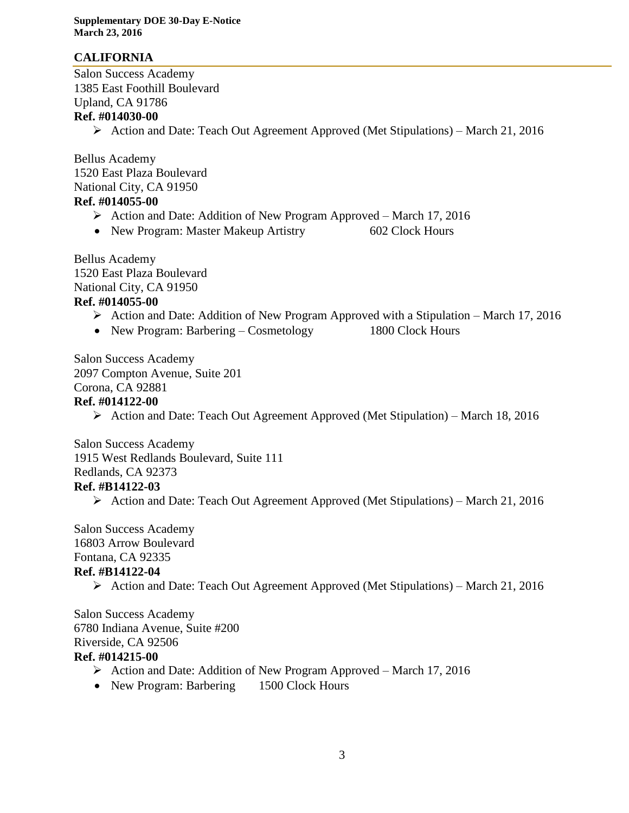## **CALIFORNIA**

Salon Success Academy 1385 East Foothill Boulevard Upland, CA 91786

#### **Ref. #014030-00**

Action and Date: Teach Out Agreement Approved (Met Stipulations) – March 21, 2016

Bellus Academy 1520 East Plaza Boulevard National City, CA 91950 **Ref. #014055-00**

- Action and Date: Addition of New Program Approved March 17, 2016
- New Program: Master Makeup Artistry 602 Clock Hours

Bellus Academy 1520 East Plaza Boulevard National City, CA 91950 **Ref. #014055-00**

- $\triangleright$  Action and Date: Addition of New Program Approved with a Stipulation March 17, 2016
- New Program: Barbering Cosmetology 1800 Clock Hours

Salon Success Academy 2097 Compton Avenue, Suite 201 Corona, CA 92881 **Ref. #014122-00**

 $\triangleright$  Action and Date: Teach Out Agreement Approved (Met Stipulation) – March 18, 2016

Salon Success Academy 1915 West Redlands Boulevard, Suite 111 Redlands, CA 92373 **Ref. #B14122-03**

Action and Date: Teach Out Agreement Approved (Met Stipulations) – March 21, 2016

Salon Success Academy 16803 Arrow Boulevard Fontana, CA 92335 **Ref. #B14122-04**

 $\triangleright$  Action and Date: Teach Out Agreement Approved (Met Stipulations) – March 21, 2016

Salon Success Academy 6780 Indiana Avenue, Suite #200 Riverside, CA 92506 **Ref. #014215-00**

- $\triangleright$  Action and Date: Addition of New Program Approved March 17, 2016
- New Program: Barbering 1500 Clock Hours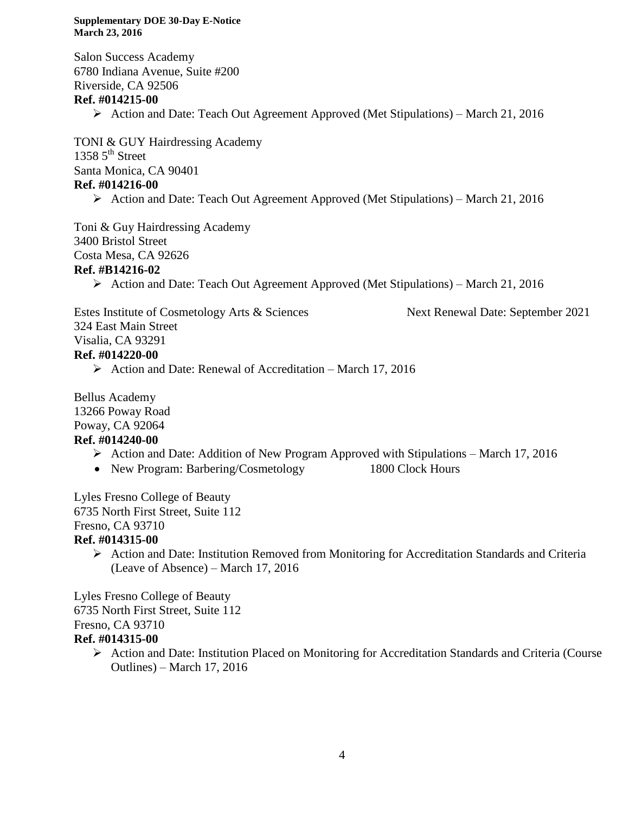Salon Success Academy 6780 Indiana Avenue, Suite #200 Riverside, CA 92506 **Ref. #014215-00** Action and Date: Teach Out Agreement Approved (Met Stipulations) – March 21, 2016

TONI & GUY Hairdressing Academy 1358  $5<sup>th</sup>$  Street Santa Monica, CA 90401 **Ref. #014216-00**

Action and Date: Teach Out Agreement Approved (Met Stipulations) – March 21, 2016

Toni & Guy Hairdressing Academy 3400 Bristol Street Costa Mesa, CA 92626

#### **Ref. #B14216-02**

Action and Date: Teach Out Agreement Approved (Met Stipulations) – March 21, 2016

Estes Institute of Cosmetology Arts & Sciences Next Renewal Date: September 2021

324 East Main Street

Visalia, CA 93291

#### **Ref. #014220-00**

 $\triangleright$  Action and Date: Renewal of Accreditation – March 17, 2016

Bellus Academy 13266 Poway Road Poway, CA 92064

## **Ref. #014240-00**

- Action and Date: Addition of New Program Approved with Stipulations March 17, 2016
- New Program: Barbering/Cosmetology 1800 Clock Hours

Lyles Fresno College of Beauty 6735 North First Street, Suite 112 Fresno, CA 93710

#### **Ref. #014315-00**

 Action and Date: Institution Removed from Monitoring for Accreditation Standards and Criteria (Leave of Absence) – March 17, 2016

Lyles Fresno College of Beauty 6735 North First Street, Suite 112 Fresno, CA 93710 **Ref. #014315-00**

 Action and Date: Institution Placed on Monitoring for Accreditation Standards and Criteria (Course Outlines) – March 17, 2016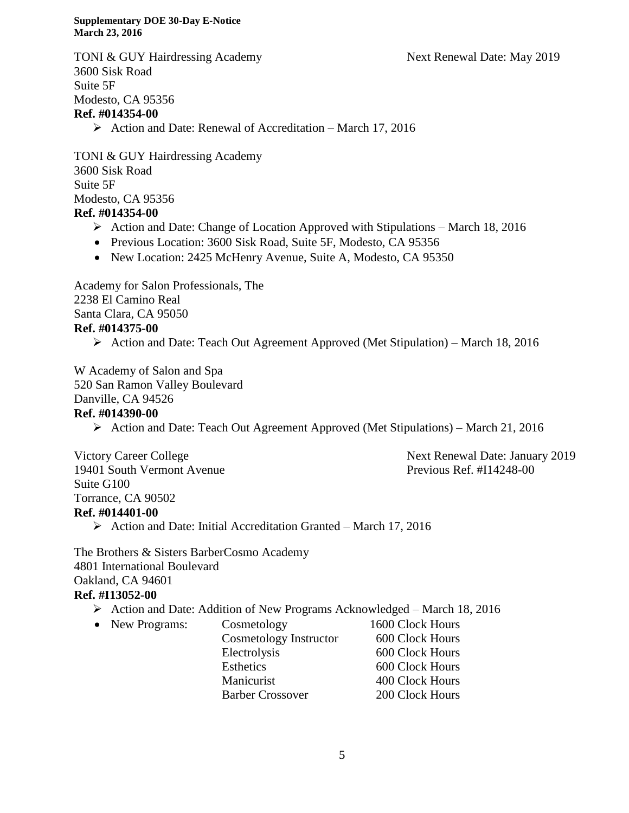TONI & GUY Hairdressing Academy Next Renewal Date: May 2019 3600 Sisk Road Suite 5F Modesto, CA 95356 **Ref. #014354-00**  $\triangleright$  Action and Date: Renewal of Accreditation – March 17, 2016

TONI & GUY Hairdressing Academy 3600 Sisk Road Suite 5F Modesto, CA 95356

- **Ref. #014354-00**
	- $\triangleright$  Action and Date: Change of Location Approved with Stipulations March 18, 2016
	- Previous Location: 3600 Sisk Road, Suite 5F, Modesto, CA 95356
	- New Location: 2425 McHenry Avenue, Suite A, Modesto, CA 95350

Academy for Salon Professionals, The 2238 El Camino Real Santa Clara, CA 95050 **Ref. #014375-00**

 $\triangleright$  Action and Date: Teach Out Agreement Approved (Met Stipulation) – March 18, 2016

W Academy of Salon and Spa 520 San Ramon Valley Boulevard Danville, CA 94526 **Ref. #014390-00**

Action and Date: Teach Out Agreement Approved (Met Stipulations) – March 21, 2016

Victory Career College Next Renewal Date: January 2019 19401 South Vermont Avenue Previous Ref. #I14248-00 Suite G100 Torrance, CA 90502 **Ref. #014401-00**

Action and Date: Initial Accreditation Granted – March 17, 2016

The Brothers & Sisters BarberCosmo Academy 4801 International Boulevard Oakland, CA 94601 **Ref. #I13052-00**

- Action and Date: Addition of New Programs Acknowledged March 18, 2016
- New Programs: Cosmetology 1600 Clock Hours Cosmetology Instructor 600 Clock Hours Electrolysis 600 Clock Hours Esthetics 600 Clock Hours Manicurist 400 Clock Hours Barber Crossover 200 Clock Hours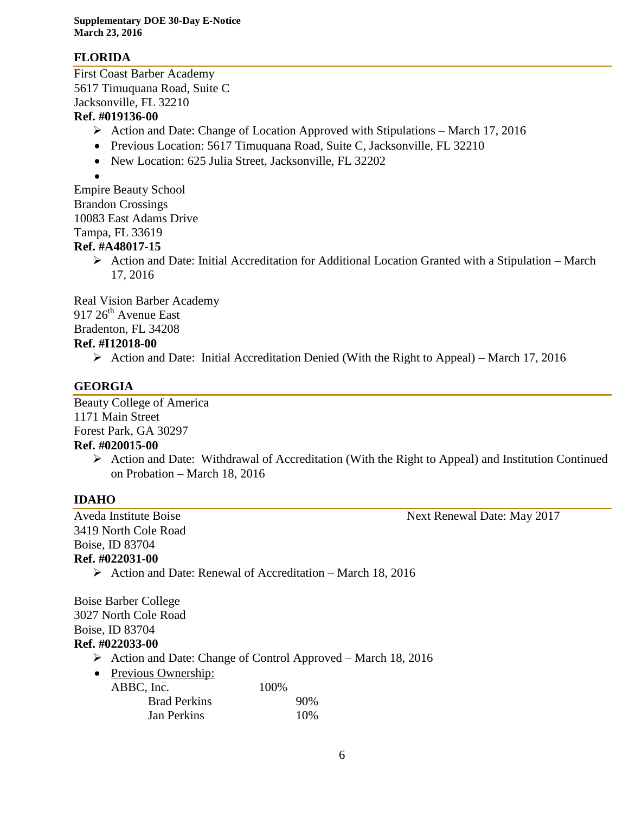## **FLORIDA**

First Coast Barber Academy 5617 Timuquana Road, Suite C Jacksonville, FL 32210

#### **Ref. #019136-00**

- $\triangleright$  Action and Date: Change of Location Approved with Stipulations March 17, 2016
- Previous Location: 5617 Timuquana Road, Suite C, Jacksonville, FL 32210
- New Location: 625 Julia Street, Jacksonville, FL 32202

 $\bullet$ 

Empire Beauty School Brandon Crossings 10083 East Adams Drive Tampa, FL 33619

#### **Ref. #A48017-15**

 $\triangleright$  Action and Date: Initial Accreditation for Additional Location Granted with a Stipulation – March 17, 2016

Real Vision Barber Academy 917 26<sup>th</sup> Avenue East Bradenton, FL 34208 **Ref. #I12018-00**

Action and Date: Initial Accreditation Denied (With the Right to Appeal) – March 17, 2016

## **GEORGIA**

Beauty College of America 1171 Main Street Forest Park, GA 30297 **Ref. #020015-00**

> $\triangleright$  Action and Date: Withdrawal of Accreditation (With the Right to Appeal) and Institution Continued on Probation – March 18, 2016

## **IDAHO**

3419 North Cole Road Boise, ID 83704 **Ref. #022031-00**

Aveda Institute Boise Next Renewal Date: May 2017

 $\triangleright$  Action and Date: Renewal of Accreditation – March 18, 2016

Boise Barber College 3027 North Cole Road Boise, ID 83704

## **Ref. #022033-00**

- $\triangleright$  Action and Date: Change of Control Approved March 18, 2016
- Previous Ownership:

| ABBC, Inc.          | 100% |
|---------------------|------|
| <b>Brad Perkins</b> | 90%  |
| <b>Jan Perkins</b>  | 10\% |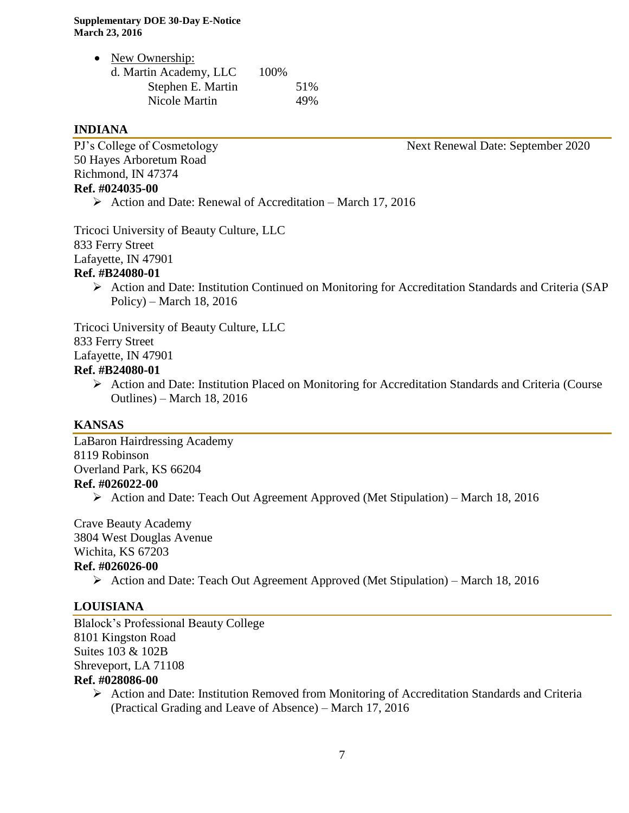| $\bullet$ | New Ownership:         |      |     |
|-----------|------------------------|------|-----|
|           | d. Martin Academy, LLC | 100% |     |
|           | Stephen E. Martin      |      | 51% |
|           | Nicole Martin          |      | 49% |

#### **INDIANA**

50 Hayes Arboretum Road Richmond, IN 47374 **Ref. #024035-00**

PJ's College of Cosmetology Next Renewal Date: September 2020

 $\triangleright$  Action and Date: Renewal of Accreditation – March 17, 2016

Tricoci University of Beauty Culture, LLC 833 Ferry Street Lafayette, IN 47901 **Ref. #B24080-01**

 Action and Date: Institution Continued on Monitoring for Accreditation Standards and Criteria (SAP Policy) – March 18, 2016

Tricoci University of Beauty Culture, LLC 833 Ferry Street Lafayette, IN 47901 **Ref. #B24080-01**

 Action and Date: Institution Placed on Monitoring for Accreditation Standards and Criteria (Course Outlines) – March 18, 2016

#### **KANSAS**

LaBaron Hairdressing Academy 8119 Robinson Overland Park, KS 66204 **Ref. #026022-00**

Action and Date: Teach Out Agreement Approved (Met Stipulation) – March 18, 2016

Crave Beauty Academy 3804 West Douglas Avenue Wichita, KS 67203

#### **Ref. #026026-00**

Action and Date: Teach Out Agreement Approved (Met Stipulation) – March 18, 2016

#### **LOUISIANA**

Blalock's Professional Beauty College 8101 Kingston Road Suites 103 & 102B Shreveport, LA 71108 **Ref. #028086-00**

 $\triangleright$  Action and Date: Institution Removed from Monitoring of Accreditation Standards and Criteria (Practical Grading and Leave of Absence) – March 17, 2016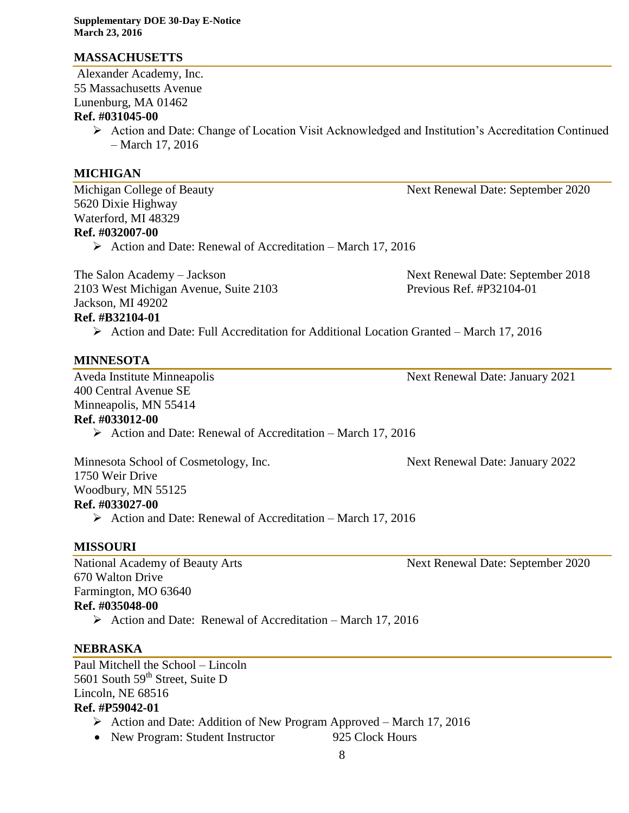#### **MASSACHUSETTS**

Alexander Academy, Inc. 55 Massachusetts Avenue Lunenburg, MA 01462

#### **Ref. #031045-00**

 Action and Date: Change of Location Visit Acknowledged and Institution's Accreditation Continued – March 17, 2016

#### **MICHIGAN**

Michigan College of Beauty Next Renewal Date: September 2020 5620 Dixie Highway Waterford, MI 48329 **Ref. #032007-00**

 $\triangleright$  Action and Date: Renewal of Accreditation – March 17, 2016

The Salon Academy – Jackson Next Renewal Date: September 2018 2103 West Michigan Avenue, Suite 2103 Previous Ref. #P32104-01 Jackson, MI 49202

## **Ref. #B32104-01**

 $\triangleright$  Action and Date: Full Accreditation for Additional Location Granted – March 17, 2016

#### **MINNESOTA**

Aveda Institute Minneapolis Next Renewal Date: January 2021 400 Central Avenue SE Minneapolis, MN 55414

## **Ref. #033012-00**

 $\triangleright$  Action and Date: Renewal of Accreditation – March 17, 2016

Minnesota School of Cosmetology, Inc. Next Renewal Date: January 2022 1750 Weir Drive Woodbury, MN 55125 **Ref. #033027-00**  $\triangleright$  Action and Date: Renewal of Accreditation – March 17, 2016

#### **MISSOURI**

670 Walton Drive Farmington, MO 63640 **Ref. #035048-00**

 $\triangleright$  Action and Date: Renewal of Accreditation – March 17, 2016

#### **NEBRASKA**

Paul Mitchell the School – Lincoln 5601 South 59<sup>th</sup> Street, Suite D Lincoln, NE 68516 **Ref. #P59042-01**

- Action and Date: Addition of New Program Approved March 17, 2016
- New Program: Student Instructor 925 Clock Hours

National Academy of Beauty Arts Next Renewal Date: September 2020

8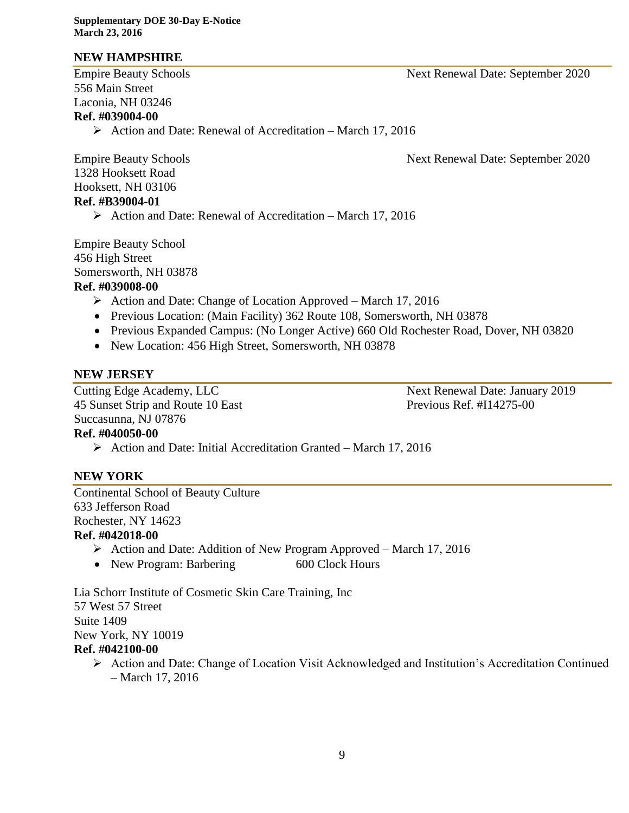## **NEW HAMPSHIRE**

556 Main Street Laconia, NH 03246 **Ref. #039004-00**

 $\triangleright$  Action and Date: Renewal of Accreditation – March 17, 2016

Empire Beauty Schools **Next Renewal Date: September 2020** 

1328 Hooksett Road Hooksett, NH 03106 **Ref. #B39004-01**

 $\triangleright$  Action and Date: Renewal of Accreditation – March 17, 2016

Empire Beauty School 456 High Street Somersworth, NH 03878

## **Ref. #039008-00**

- $\triangleright$  Action and Date: Change of Location Approved March 17, 2016
- Previous Location: (Main Facility) 362 Route 108, Somersworth, NH 03878
- Previous Expanded Campus: (No Longer Active) 660 Old Rochester Road, Dover, NH 03820
- New Location: 456 High Street, Somersworth, NH 03878

#### **NEW JERSEY**

Cutting Edge Academy, LLC Next Renewal Date: January 2019 45 Sunset Strip and Route 10 East Previous Ref. #I14275-00 Succasunna, NJ 07876 **Ref. #040050-00**

 $\triangleright$  Action and Date: Initial Accreditation Granted – March 17, 2016

## **NEW YORK**

Continental School of Beauty Culture 633 Jefferson Road Rochester, NY 14623

#### **Ref. #042018-00**

- $\triangleright$  Action and Date: Addition of New Program Approved March 17, 2016
- New Program: Barbering 600 Clock Hours

Lia Schorr Institute of Cosmetic Skin Care Training, Inc 57 West 57 Street Suite 1409 New York, NY 10019 **Ref. #042100-00**

 Action and Date: Change of Location Visit Acknowledged and Institution's Accreditation Continued – March 17, 2016

Empire Beauty Schools Next Renewal Date: September 2020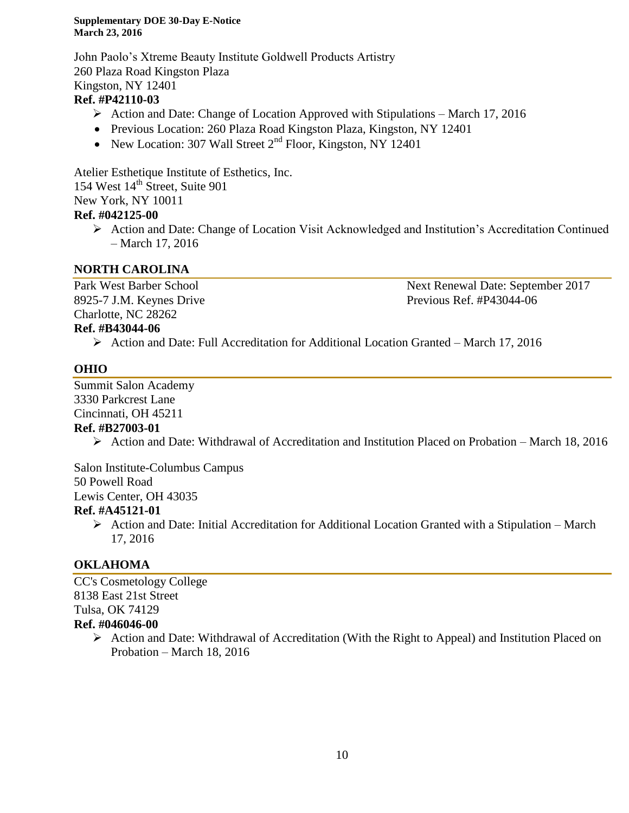John Paolo's Xtreme Beauty Institute Goldwell Products Artistry 260 Plaza Road Kingston Plaza Kingston, NY 12401

## **Ref. #P42110-03**

- $\triangleright$  Action and Date: Change of Location Approved with Stipulations March 17, 2016
- Previous Location: 260 Plaza Road Kingston Plaza, Kingston, NY 12401
- New Location: 307 Wall Street  $2<sup>nd</sup>$  Floor, Kingston, NY 12401

Atelier Esthetique Institute of Esthetics, Inc. 154 West 14<sup>th</sup> Street, Suite 901 New York, NY 10011 **Ref. #042125-00**

 Action and Date: Change of Location Visit Acknowledged and Institution's Accreditation Continued – March 17, 2016

## **NORTH CAROLINA**

8925-7 J.M. Keynes Drive Previous Ref. #P43044-06 Charlotte, NC 28262

Park West Barber School Next Renewal Date: September 2017

## **Ref. #B43044-06**

 $\triangleright$  Action and Date: Full Accreditation for Additional Location Granted – March 17, 2016

## **OHIO**

Summit Salon Academy 3330 Parkcrest Lane Cincinnati, OH 45211

#### **Ref. #B27003-01**

 $\triangleright$  Action and Date: Withdrawal of Accreditation and Institution Placed on Probation – March 18, 2016

Salon Institute-Columbus Campus

50 Powell Road

Lewis Center, OH 43035

## **Ref. #A45121-01**

 $\triangleright$  Action and Date: Initial Accreditation for Additional Location Granted with a Stipulation – March 17, 2016

## **OKLAHOMA**

CC's Cosmetology College 8138 East 21st Street Tulsa, OK 74129 **Ref. #046046-00**

> Action and Date: Withdrawal of Accreditation (With the Right to Appeal) and Institution Placed on Probation – March 18, 2016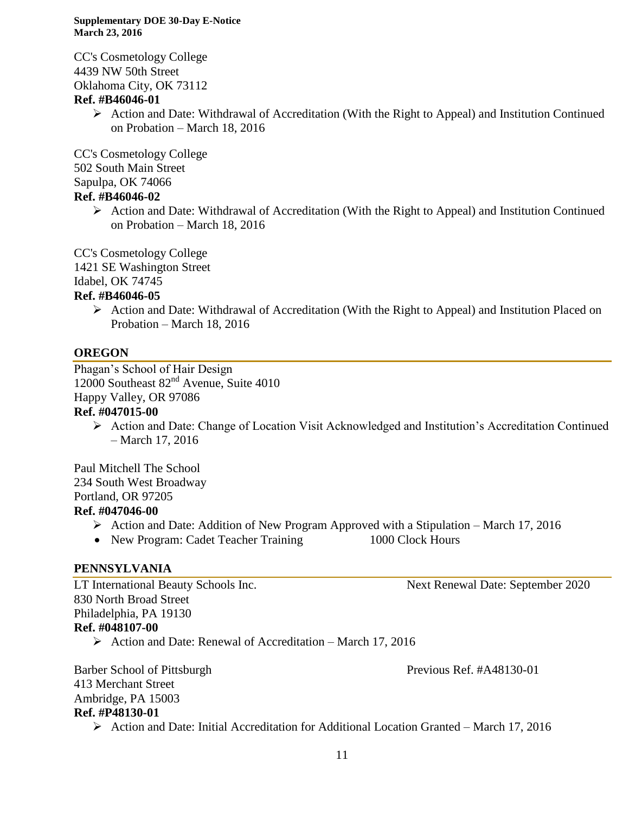CC's Cosmetology College 4439 NW 50th Street Oklahoma City, OK 73112

#### **Ref. #B46046-01**

 $\triangleright$  Action and Date: Withdrawal of Accreditation (With the Right to Appeal) and Institution Continued on Probation – March 18, 2016

CC's Cosmetology College

502 South Main Street Sapulpa, OK 74066

#### **Ref. #B46046-02**

 $\triangleright$  Action and Date: Withdrawal of Accreditation (With the Right to Appeal) and Institution Continued on Probation – March 18, 2016

CC's Cosmetology College

1421 SE Washington Street

Idabel, OK 74745

#### **Ref. #B46046-05**

 $\triangleright$  Action and Date: Withdrawal of Accreditation (With the Right to Appeal) and Institution Placed on Probation – March 18, 2016

## **OREGON**

Phagan's School of Hair Design 12000 Southeast 82nd Avenue, Suite 4010 Happy Valley, OR 97086

## **Ref. #047015-00**

 $\triangleright$  Action and Date: Change of Location Visit Acknowledged and Institution's Accreditation Continued – March 17, 2016

Paul Mitchell The School 234 South West Broadway Portland, OR 97205 **Ref. #047046-00**

- $\triangleright$  Action and Date: Addition of New Program Approved with a Stipulation March 17, 2016
- New Program: Cadet Teacher Training 1000 Clock Hours

## **PENNSYLVANIA**

LT International Beauty Schools Inc. Next Renewal Date: September 2020 830 North Broad Street Philadelphia, PA 19130 **Ref. #048107-00**

 $\triangleright$  Action and Date: Renewal of Accreditation – March 17, 2016

Barber School of Pittsburgh Previous Ref. #A48130-01 413 Merchant Street Ambridge, PA 15003 **Ref. #P48130-01**

 $\triangleright$  Action and Date: Initial Accreditation for Additional Location Granted – March 17, 2016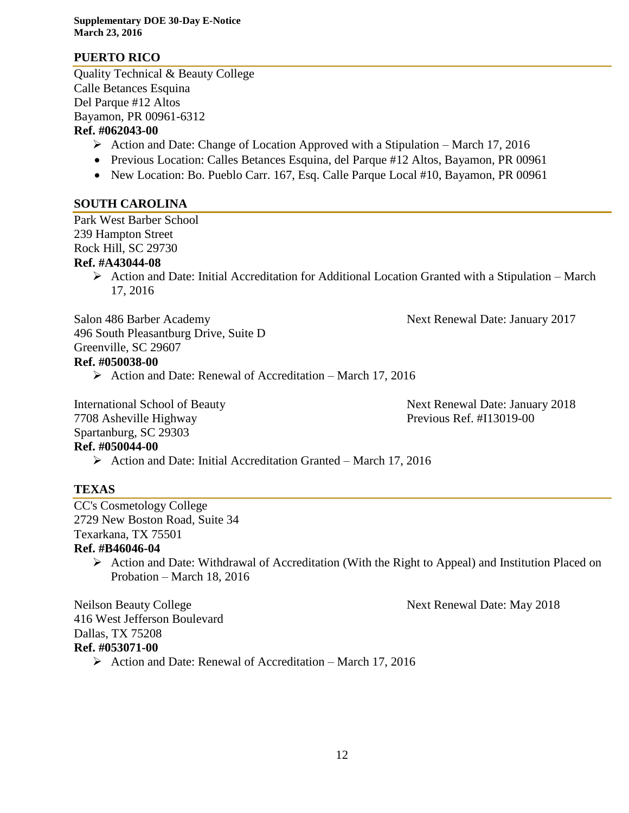#### **PUERTO RICO**

Quality Technical & Beauty College Calle Betances Esquina Del Parque #12 Altos Bayamon, PR 00961-6312 **Ref. #062043-00**

- $\triangleright$  Action and Date: Change of Location Approved with a Stipulation March 17, 2016
- Previous Location: Calles Betances Esquina, del Parque #12 Altos, Bayamon, PR 00961
- New Location: Bo. Pueblo Carr. 167, Esq. Calle Parque Local #10, Bayamon, PR 00961

#### **SOUTH CAROLINA**

Park West Barber School 239 Hampton Street Rock Hill, SC 29730 **Ref. #A43044-08**

> $\triangleright$  Action and Date: Initial Accreditation for Additional Location Granted with a Stipulation – March 17, 2016

Salon 486 Barber Academy Next Renewal Date: January 2017 496 South Pleasantburg Drive, Suite D Greenville, SC 29607 **Ref. #050038-00**

 $\triangleright$  Action and Date: Renewal of Accreditation – March 17, 2016

7708 Asheville Highway Previous Ref. #I13019-00 Spartanburg, SC 29303 **Ref. #050044-00**

International School of Beauty Next Renewal Date: January 2018

 $\triangleright$  Action and Date: Initial Accreditation Granted – March 17, 2016

## **TEXAS**

CC's Cosmetology College 2729 New Boston Road, Suite 34 Texarkana, TX 75501

## **Ref. #B46046-04**

 $\triangleright$  Action and Date: Withdrawal of Accreditation (With the Right to Appeal) and Institution Placed on Probation – March 18, 2016

Neilson Beauty College Next Renewal Date: May 2018

416 West Jefferson Boulevard Dallas, TX 75208 **Ref. #053071-00**

 $\triangleright$  Action and Date: Renewal of Accreditation – March 17, 2016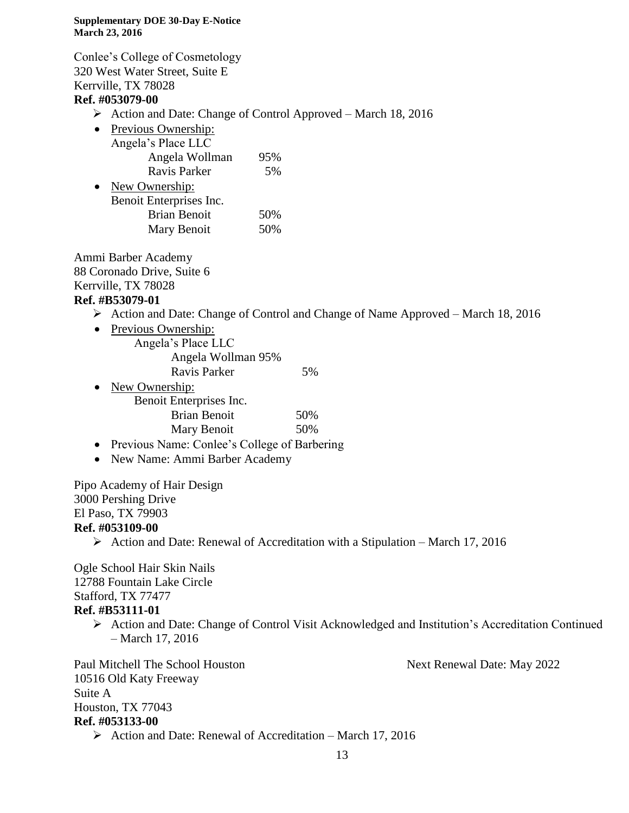Conlee's College of Cosmetology 320 West Water Street, Suite E Kerrville, TX 78028 **Ref. #053079-00**

- $\triangleright$  Action and Date: Change of Control Approved March 18, 2016
- Previous Ownership: Angela's Place LLC Angela Wollman 95% Ravis Parker 5%
- New Ownership: Benoit Enterprises Inc. Brian Benoit 50% Mary Benoit 50%

Ammi Barber Academy 88 Coronado Drive, Suite 6 Kerrville, TX 78028

#### **Ref. #B53079-01**

- Action and Date: Change of Control and Change of Name Approved March 18, 2016
- Previous Ownership: Angela's Place LLC Angela Wollman 95% Ravis Parker 5%
- New Ownership: Benoit Enterprises Inc. Brian Benoit 50% Mary Benoit 50%
- Previous Name: Conlee's College of Barbering
- New Name: Ammi Barber Academy

Pipo Academy of Hair Design 3000 Pershing Drive El Paso, TX 79903 **Ref. #053109-00**

 $\triangleright$  Action and Date: Renewal of Accreditation with a Stipulation – March 17, 2016

Ogle School Hair Skin Nails 12788 Fountain Lake Circle Stafford, TX 77477 **Ref. #B53111-01**

 Action and Date: Change of Control Visit Acknowledged and Institution's Accreditation Continued – March 17, 2016

Paul Mitchell The School Houston Next Renewal Date: May 2022 10516 Old Katy Freeway Suite A Houston, TX 77043 **Ref. #053133-00**

- 
- $\triangleright$  Action and Date: Renewal of Accreditation March 17, 2016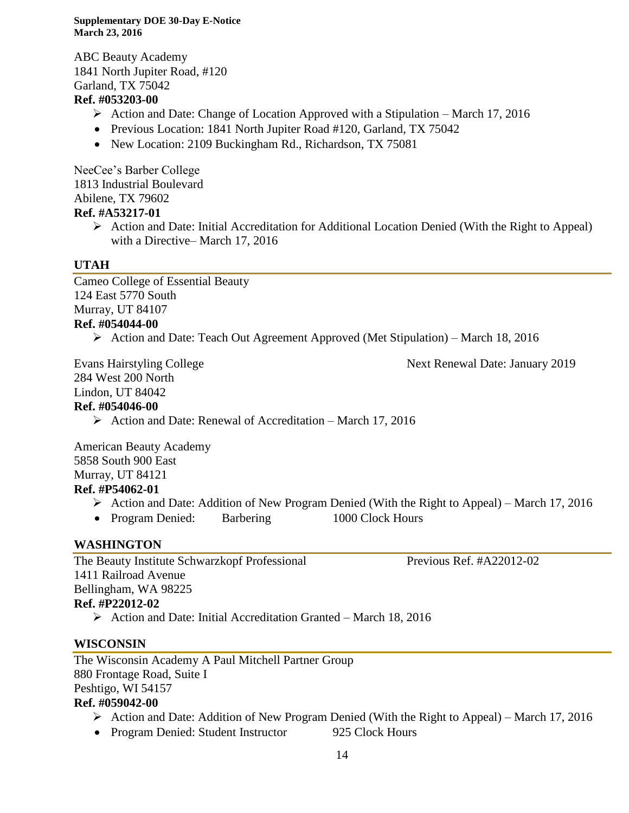ABC Beauty Academy 1841 North Jupiter Road, #120 Garland, TX 75042

## **Ref. #053203-00**

- Action and Date: Change of Location Approved with a Stipulation March 17, 2016
- Previous Location: 1841 North Jupiter Road #120, Garland, TX 75042
- New Location: 2109 Buckingham Rd., Richardson, TX 75081

NeeCee's Barber College 1813 Industrial Boulevard Abilene, TX 79602 **Ref. #A53217-01**

> $\triangleright$  Action and Date: Initial Accreditation for Additional Location Denied (With the Right to Appeal) with a Directive– March 17, 2016

## **UTAH**

Cameo College of Essential Beauty 124 East 5770 South Murray, UT 84107 **Ref. #054044-00**

 $\triangleright$  Action and Date: Teach Out Agreement Approved (Met Stipulation) – March 18, 2016

284 West 200 North Lindon, UT 84042

Evans Hairstyling College **Next Renewal Date: January 2019** 

**Ref. #054046-00**

 $\triangleright$  Action and Date: Renewal of Accreditation – March 17, 2016

American Beauty Academy 5858 South 900 East Murray, UT 84121

## **Ref. #P54062-01**

- $\triangleright$  Action and Date: Addition of New Program Denied (With the Right to Appeal) March 17, 2016
- Program Denied: Barbering 1000 Clock Hours

## **WASHINGTON**

The Beauty Institute Schwarzkopf Professional Previous Ref. #A22012-02 1411 Railroad Avenue Bellingham, WA 98225 **Ref. #P22012-02**

 $\triangleright$  Action and Date: Initial Accreditation Granted – March 18, 2016

## **WISCONSIN**

The Wisconsin Academy A Paul Mitchell Partner Group 880 Frontage Road, Suite I Peshtigo, WI 54157

## **Ref. #059042-00**

- $\triangleright$  Action and Date: Addition of New Program Denied (With the Right to Appeal) March 17, 2016
- Program Denied: Student Instructor 925 Clock Hours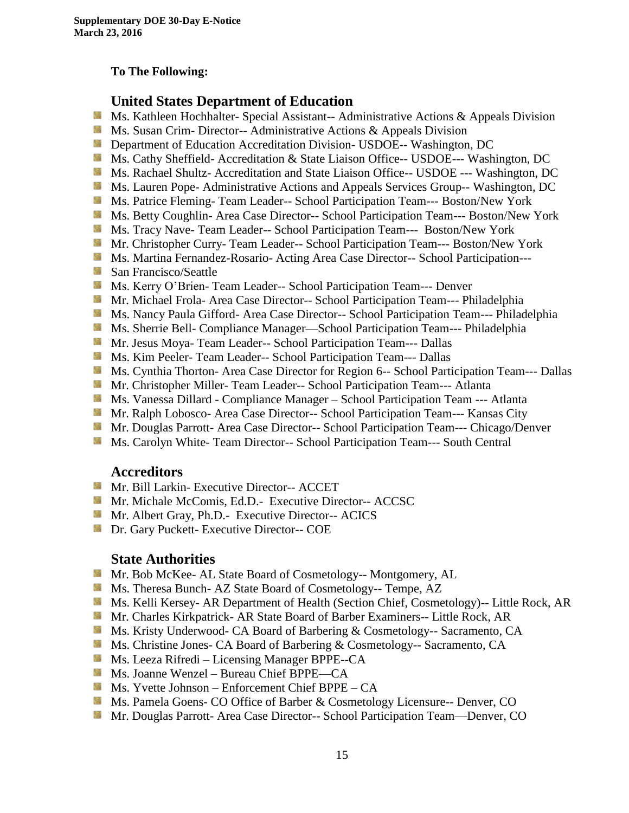#### **To The Following:**

#### **United States Department of Education**

- **Ms. Kathleen Hochhalter- Special Assistant-- Administrative Actions & Appeals Division**
- **Ms.** Susan Crim-Director-- Administrative Actions  $\&$  Appeals Division
- **Department of Education Accreditation Division- USDOE-- Washington, DC**
- **Ms.** Cathy Sheffield- Accreditation & State Liaison Office-- USDOE--- Washington, DC
- Ms. Rachael Shultz- Accreditation and State Liaison Office-- USDOE --- Washington, DC
- **Ms. Lauren Pope- Administrative Actions and Appeals Services Group-- Washington, DC**
- Ms. Patrice Fleming- Team Leader-- School Participation Team--- Boston/New York
- Ms. Betty Coughlin- Area Case Director-- School Participation Team--- Boston/New York
- Ms. Tracy Nave- Team Leader-- School Participation Team--- Boston/New York
- Mr. Christopher Curry- Team Leader-- School Participation Team--- Boston/New York
- Ms. Martina Fernandez-Rosario- Acting Area Case Director-- School Participation---
- **San Francisco/Seattle**
- Ms. Kerry O'Brien- Team Leader-- School Participation Team--- Denver
- **Mr. Michael Frola- Area Case Director-- School Participation Team--- Philadelphia**
- Ms. Nancy Paula Gifford- Area Case Director-- School Participation Team--- Philadelphia
- **Ms. Sherrie Bell- Compliance Manager—School Participation Team--- Philadelphia**
- **Mr. Jesus Moya- Team Leader-- School Participation Team--- Dallas**
- **Ms. Kim Peeler- Team Leader-- School Participation Team--- Dallas**
- **Ms. Cynthia Thorton- Area Case Director for Region 6-- School Participation Team--- Dallas**
- **Mr. Christopher Miller-Team Leader-- School Participation Team--- Atlanta**
- Ms. Vanessa Dillard Compliance Manager School Participation Team --- Atlanta
- Mr. Ralph Lobosco- Area Case Director-- School Participation Team--- Kansas City
- Mr. Douglas Parrott- Area Case Director-- School Participation Team--- Chicago/Denver
- **MS. Carolyn White-Team Director-- School Participation Team--- South Central**

#### **Accreditors**

- **Mr. Bill Larkin- Executive Director-- ACCET**
- **Mr. Michale McComis, Ed.D.- Executive Director-- ACCSC**
- Mr. Albert Gray, Ph.D.- Executive Director-- ACICS
- **Dr.** Gary Puckett- Executive Director-- COE

#### **State Authorities**

- Mr. Bob McKee- AL State Board of Cosmetology-- Montgomery, AL
- Ms. Theresa Bunch- AZ State Board of Cosmetology-- Tempe, AZ
- Ms. Kelli Kersey- AR Department of Health (Section Chief, Cosmetology)-- Little Rock, AR
- Mr. Charles Kirkpatrick- AR State Board of Barber Examiners-- Little Rock, AR
- **Ms. Kristy Underwood- CA Board of Barbering & Cosmetology-- Sacramento, CA**
- Ms. Christine Jones- CA Board of Barbering & Cosmetology-- Sacramento, CA
- Ms. Leeza Rifredi Licensing Manager BPPE--CA
- Ms. Joanne Wenzel Bureau Chief BPPE—CA
- $M_s$  Ms. Yvette Johnson Enforcement Chief BPPE CA
- Ms. Pamela Goens- CO Office of Barber & Cosmetology Licensure-- Denver, CO
- Mr. Douglas Parrott- Area Case Director-- School Participation Team—Denver, CO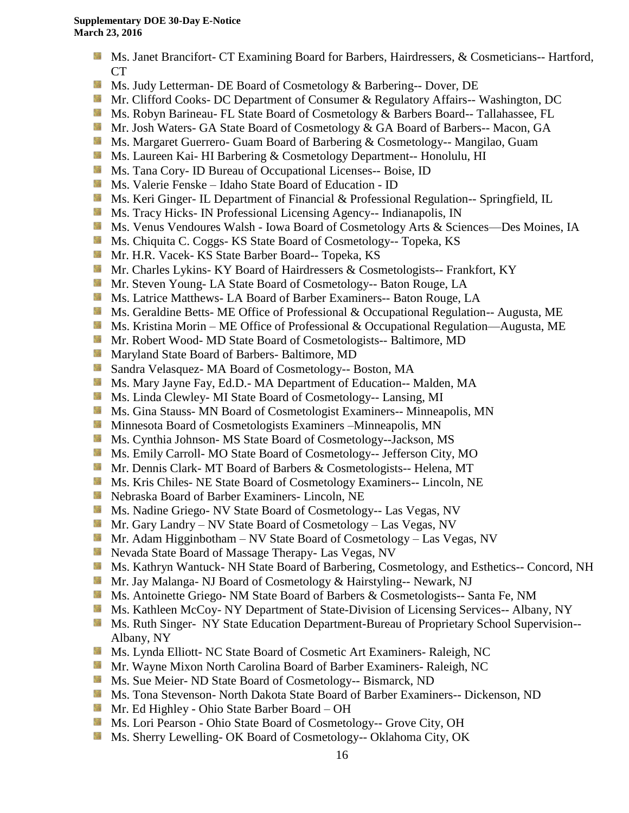- **Ms. Janet Brancifort- CT Examining Board for Barbers, Hairdressers, & Cosmeticians-- Hartford,** CT
- Ms. Judy Letterman- DE Board of Cosmetology & Barbering-- Dover, DE
- **Mr.** Clifford Cooks- DC Department of Consumer & Regulatory Affairs-- Washington, DC
- **Ms. Robyn Barineau- FL State Board of Cosmetology & Barbers Board-- Tallahassee, FL**
- **Mr.** Josh Waters- GA State Board of Cosmetology & GA Board of Barbers-- Macon, GA
- **Ms. Margaret Guerrero- Guam Board of Barbering & Cosmetology-- Mangilao, Guam**
- Ms. Laureen Kai- HI Barbering & Cosmetology Department-- Honolulu, HI
- **Ms.** Tana Cory- ID Bureau of Occupational Licenses-- Boise, ID
- Ms. Valerie Fenske Idaho State Board of Education ID
- **Ms. Keri Ginger- IL Department of Financial & Professional Regulation-- Springfield, IL**
- **Ms.** Tracy Hicks- IN Professional Licensing Agency-- Indianapolis, IN
- Ms. Venus Vendoures Walsh Iowa Board of Cosmetology Arts & Sciences—Des Moines, IA
- Ms. Chiquita C. Coggs- KS State Board of Cosmetology-- Topeka, KS
- Mr. H.R. Vacek- KS State Barber Board-- Topeka, KS
- **Mr. Charles Lykins- KY Board of Hairdressers & Cosmetologists-- Frankfort, KY**
- **Mr.** Steven Young-LA State Board of Cosmetology-- Baton Rouge, LA
- **Ms. Latrice Matthews- LA Board of Barber Examiners-- Baton Rouge, LA**
- **Ms. Geraldine Betts- ME Office of Professional & Occupational Regulation-- Augusta, ME**
- **Ms. Kristina Morin ME Office of Professional & Occupational Regulation—Augusta, ME**
- **Mr. Robert Wood- MD State Board of Cosmetologists-- Baltimore, MD**
- **Maryland State Board of Barbers- Baltimore, MD**
- Sandra Velasquez- MA Board of Cosmetology-- Boston, MA
- Ms. Mary Jayne Fay, Ed.D.- MA Department of Education-- Malden, MA
- 59 Ms. Linda Clewley- MI State Board of Cosmetology-- Lansing, MI
- **MS.** Gina Stauss- MN Board of Cosmetologist Examiners-- Minneapolis, MN
- **M** Minnesota Board of Cosmetologists Examiners –Minneapolis, MN
- Ms. Cynthia Johnson- MS State Board of Cosmetology--Jackson, MS
- Ms. Emily Carroll- MO State Board of Cosmetology-- Jefferson City, MO
- Mr. Dennis Clark- MT Board of Barbers & Cosmetologists-- Helena, MT
- **Ms. Kris Chiles- NE State Board of Cosmetology Examiners-- Lincoln, NE**
- Nebraska Board of Barber Examiners- Lincoln, NE
- **Ms. Nadine Griego- NV State Board of Cosmetology-- Las Vegas, NV**
- Mr. Gary Landry NV State Board of Cosmetology Las Vegas, NV
- **Mr.** Adam Higginbotham NV State Board of Cosmetology Las Vegas, NV
- **Nevada State Board of Massage Therapy- Las Vegas, NV**
- Ms. Kathryn Wantuck- NH State Board of Barbering, Cosmetology, and Esthetics-- Concord, NH
- Mr. Jay Malanga- NJ Board of Cosmetology & Hairstyling-- Newark, NJ
- Ms. Antoinette Griego- NM State Board of Barbers & Cosmetologists-- Santa Fe, NM
- Ms. Kathleen McCoy- NY Department of State-Division of Licensing Services-- Albany, NY
- **Ms. Ruth Singer- NY State Education Department-Bureau of Proprietary School Supervision--**Albany, NY
- **Ms. Lynda Elliott- NC State Board of Cosmetic Art Examiners- Raleigh, NC**
- Mr. Wayne Mixon North Carolina Board of Barber Examiners- Raleigh, NC
- Ms. Sue Meier- ND State Board of Cosmetology-- Bismarck, ND
- Ms. Tona Stevenson- North Dakota State Board of Barber Examiners-- Dickenson, ND
- Mr. Ed Highley Ohio State Barber Board OH
- Ms. Lori Pearson Ohio State Board of Cosmetology-- Grove City, OH
- Ms. Sherry Lewelling- OK Board of Cosmetology-- Oklahoma City, OK